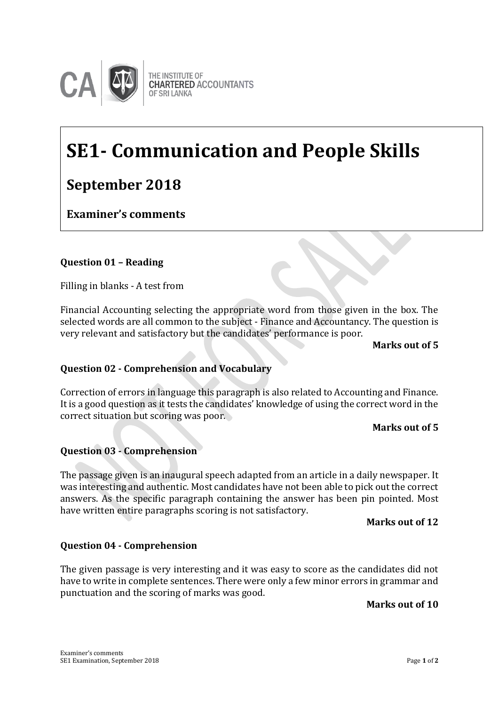

THE INSTITUTE OF **CHARTERED ACCOUNTANTS OF SRI LANKA** 

# **SE1- Communication and People Skills**

## **September 2018**

## **Examiner's comments**

### **Question 01 – Reading**

Filling in blanks - A test from

Financial Accounting selecting the appropriate word from those given in the box. The selected words are all common to the subject - Finance and Accountancy. The question is very relevant and satisfactory but the candidates' performance is poor.

**Examiner's Comments**

#### **Marks out of 5**

#### **Question 02 - Comprehension and Vocabulary**

Correction of errors in language this paragraph is also related to Accounting and Finance. It is a good question as it tests the candidates' knowledge of using the correct word in the correct situation but scoring was poor.

#### **Marks out of 5**

#### **Question 03 - Comprehension**

The passage given is an inaugural speech adapted from an article in a daily newspaper. It was interesting and authentic. Most candidates have not been able to pick out the correct answers. As the specific paragraph containing the answer has been pin pointed. Most have written entire paragraphs scoring is not satisfactory.

#### **Marks out of 12**

#### **Question 04 - Comprehension**

The given passage is very interesting and it was easy to score as the candidates did not have to write in complete sentences. There were only a few minor errors in grammar and punctuation and the scoring of marks was good.

#### **Marks out of 10**